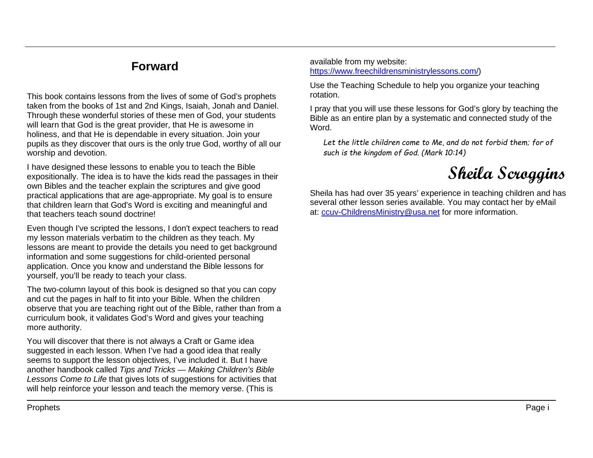## **Forward**

This book contains lessons from the lives of some of God's prophets taken from the books of 1st and 2nd Kings, Isaiah, Jonah and Daniel. Through these wonderful stories of these men of God, your students will learn that God is the great provider, that He is awesome in holiness, and that He is dependable in every situation. Join your pupils as they discover that ours is the only true God, worthy of all our worship and devotion.

I have designed these lessons to enable you to teach the Bible expositionally. The idea is to have the kids read the passages in their own Bibles and the teacher explain the scriptures and give good practical applications that are age-appropriate. My goal is to ensure that children learn that God's Word is exciting and meaningful and that teachers teach sound doctrine!

Even though I've scripted the lessons, I don't expect teachers to read my lesson materials verbatim to the children as they teach. My lessons are meant to provide the details you need to get background information and some suggestions for child-oriented personal application. Once you know and understand the Bible lessons for yourself, you'll be ready to teach your class.

The two-column layout of this book is designed so that you can copy and cut the pages in half to fit into your Bible. When the children observe that you are teaching right out of the Bible, rather than from a curriculum book, it validates God's Word and gives your teaching more authority.

You will discover that there is not always a Craft or Game idea suggested in each lesson. When I've had a good idea that really seems to support the lesson objectives, I've included it. But I have another handbook called *Tips and Tricks — Making Children's Bible Lessons Come to Life* that gives lots of suggestions for activities that will help reinforce your lesson and teach the memory verse. (This is

available from my website: [https://www.freechildrensministrylessons.com/\)](https://www.freechildrensministrylessons.com/)

Use the Teaching Schedule to help you organize your teaching rotation.

I pray that you will use these lessons for God's glory by teaching the Bible as an entire plan by a systematic and connected study of the Word.

*Let the little children come to Me, and do not forbid them; for of such is the kingdom of God. (Mark 10:14)*

## **Sheila Scroggins**

Sheila has had over 35 years' experience in teaching children and has several other lesson series available. You may contact her by eMail at: [ccuv-ChildrensMinistry@usa.net](mailto:ccuv-ChildrensMinistry@usa.net) for more information.